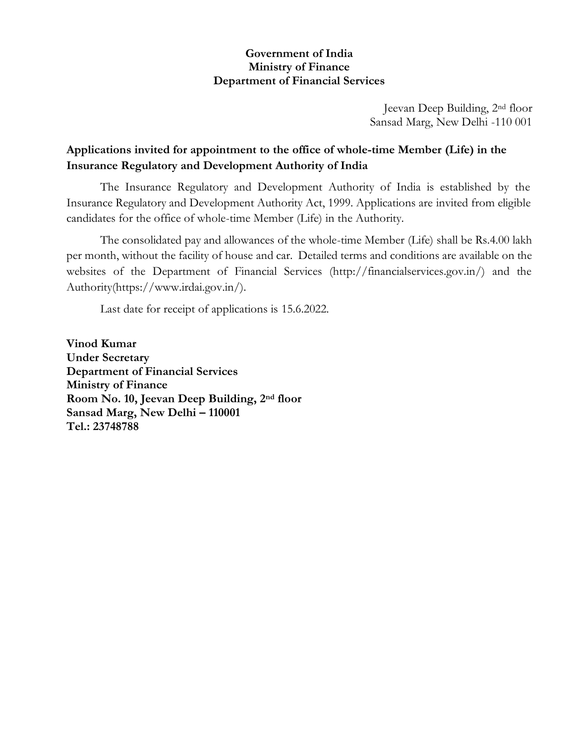### **Government of India Ministry of Finance Department of Financial Services**

Jeevan Deep Building, 2nd floor Sansad Marg, New Delhi -110 001

## **Applications invited for appointment to the office of whole-time Member (Life) in the Insurance Regulatory and Development Authority of India**

The Insurance Regulatory and Development Authority of India is established by the Insurance Regulatory and Development Authority Act, 1999. Applications are invited from eligible candidates for the office of whole-time Member (Life) in the Authority.

The consolidated pay and allowances of the whole-time Member (Life) shall be Rs.4.00 lakh per month, without the facility of house and car. Detailed terms and conditions are available on the websites of the Department of Financial Services (http://financialservices.gov.in/) and the Authority(https://www.irdai.gov.in/).

Last date for receipt of applications is 15.6.2022.

**Vinod Kumar Under Secretary Department of Financial Services Ministry of Finance Room No. 10, Jeevan Deep Building, 2nd floor Sansad Marg, New Delhi – 110001 Tel.: 23748788**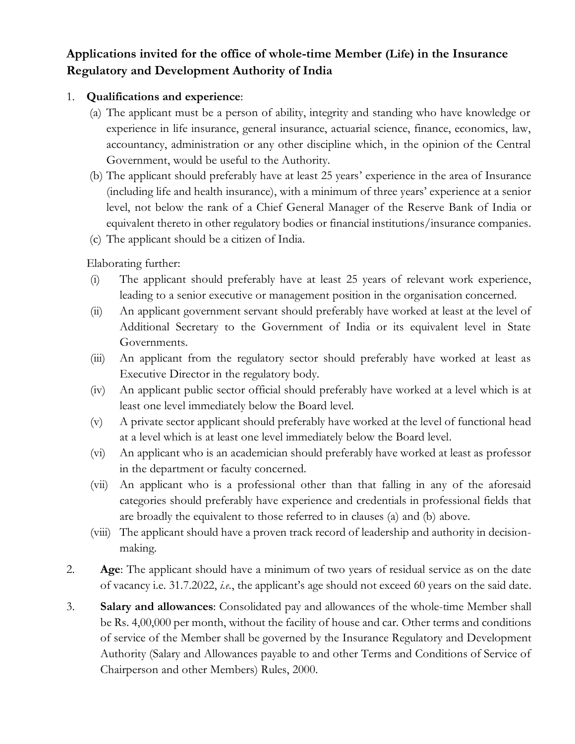# **Applications invited for the office of whole-time Member (Life) in the Insurance Regulatory and Development Authority of India**

### 1. **Qualifications and experience**:

- (a) The applicant must be a person of ability, integrity and standing who have knowledge or experience in life insurance, general insurance, actuarial science, finance, economics, law, accountancy, administration or any other discipline which, in the opinion of the Central Government, would be useful to the Authority.
- (b) The applicant should preferably have at least 25 years' experience in the area of Insurance (including life and health insurance), with a minimum of three years' experience at a senior level, not below the rank of a Chief General Manager of the Reserve Bank of India or equivalent thereto in other regulatory bodies or financial institutions/insurance companies.
- (c) The applicant should be a citizen of India.

Elaborating further:

- (i) The applicant should preferably have at least 25 years of relevant work experience, leading to a senior executive or management position in the organisation concerned.
- (ii) An applicant government servant should preferably have worked at least at the level of Additional Secretary to the Government of India or its equivalent level in State Governments.
- (iii) An applicant from the regulatory sector should preferably have worked at least as Executive Director in the regulatory body.
- (iv) An applicant public sector official should preferably have worked at a level which is at least one level immediately below the Board level.
- (v) A private sector applicant should preferably have worked at the level of functional head at a level which is at least one level immediately below the Board level.
- (vi) An applicant who is an academician should preferably have worked at least as professor in the department or faculty concerned.
- (vii) An applicant who is a professional other than that falling in any of the aforesaid categories should preferably have experience and credentials in professional fields that are broadly the equivalent to those referred to in clauses (a) and (b) above.
- (viii) The applicant should have a proven track record of leadership and authority in decisionmaking.
- 2. **Age**: The applicant should have a minimum of two years of residual service as on the date of vacancy i.e. 31.7.2022, *i.e.*, the applicant's age should not exceed 60 years on the said date.
- 3. **Salary and allowances**: Consolidated pay and allowances of the whole-time Member shall be Rs. 4,00,000 per month, without the facility of house and car*.* Other terms and conditions of service of the Member shall be governed by the Insurance Regulatory and Development Authority (Salary and Allowances payable to and other Terms and Conditions of Service of Chairperson and other Members) Rules, 2000.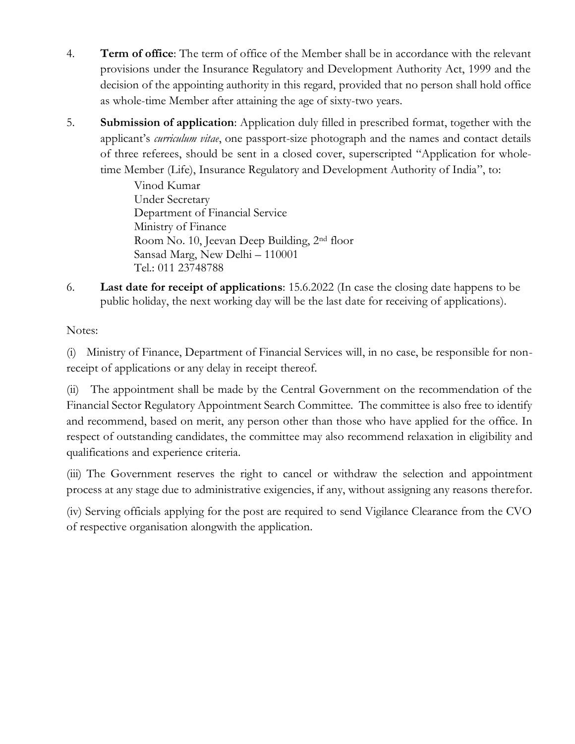- 4. **Term of office**: The term of office of the Member shall be in accordance with the relevant provisions under the Insurance Regulatory and Development Authority Act, 1999 and the decision of the appointing authority in this regard, provided that no person shall hold office as whole-time Member after attaining the age of sixty-two years.
- 5. **Submission of application**: Application duly filled in prescribed format, together with the applicant's *curriculum vitae*, one passport-size photograph and the names and contact details of three referees, should be sent in a closed cover, superscripted "Application for wholetime Member (Life), Insurance Regulatory and Development Authority of India", to:

Vinod Kumar Under Secretary Department of Financial Service Ministry of Finance Room No. 10, Jeevan Deep Building, 2nd floor Sansad Marg, New Delhi – 110001 Tel.: 011 23748788

6. **Last date for receipt of applications**: 15.6.2022 (In case the closing date happens to be public holiday, the next working day will be the last date for receiving of applications).

Notes:

(i) Ministry of Finance, Department of Financial Services will, in no case, be responsible for nonreceipt of applications or any delay in receipt thereof.

(ii) The appointment shall be made by the Central Government on the recommendation of the Financial Sector Regulatory Appointment Search Committee. The committee is also free to identify and recommend, based on merit, any person other than those who have applied for the office. In respect of outstanding candidates, the committee may also recommend relaxation in eligibility and qualifications and experience criteria.

(iii) The Government reserves the right to cancel or withdraw the selection and appointment process at any stage due to administrative exigencies, if any, without assigning any reasons therefor.

(iv) Serving officials applying for the post are required to send Vigilance Clearance from the CVO of respective organisation alongwith the application.